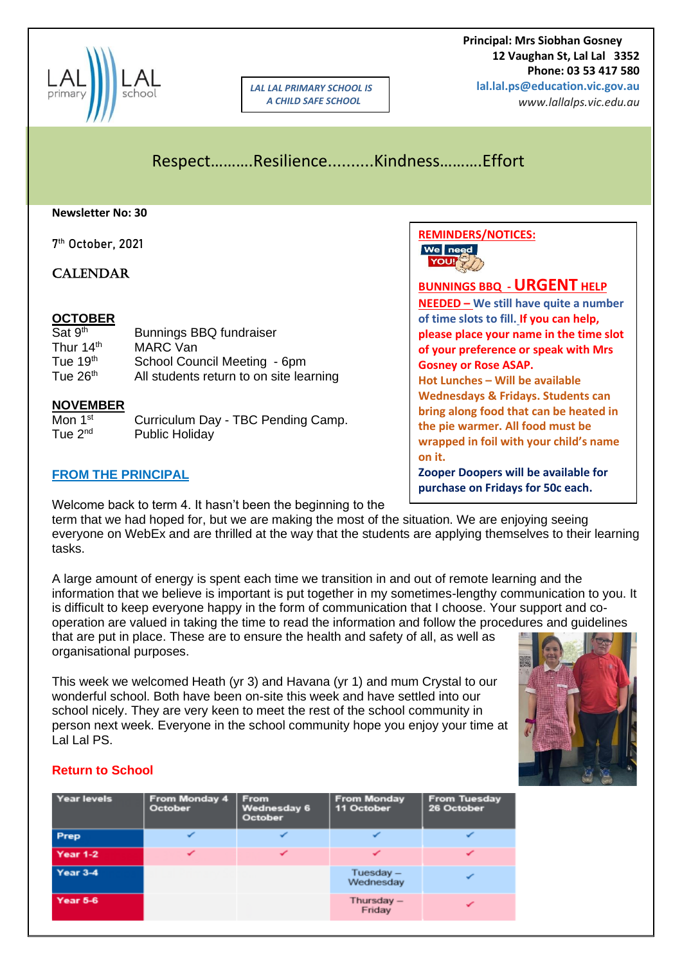

*LAL LAL PRIMARY SCHOOL IS A CHILD SAFE SCHOOL*

 **Principal: Mrs Siobhan Gosney 12 Vaughan St, Lal Lal 3352 Phone: 03 53 417 580 lal.lal.ps@education.vic.gov.au**

*www.lallalps.vic.edu.au* 

# Respect……….Resilience..........Kindness……….Effort

#### **Newsletter No: 30**

7 th October, 2021

## **CALENDAR**

### **OCTOBER**

| Sat 9 <sup>th</sup>   | <b>Bunnings BBQ fundraiser</b>          |
|-----------------------|-----------------------------------------|
| Thur 14 <sup>th</sup> | MARC Van                                |
| Tue $19th$            | School Council Meeting - 6pm            |
| Tue 26 <sup>th</sup>  | All students return to on site learning |

#### **NOVEMBER**

| Mon 1 <sup>st</sup> | Curriculum Day - TBC Pending Camp. |
|---------------------|------------------------------------|
| Tue $2^{nd}$        | <b>Public Holiday</b>              |

### **FROM THE PRINCIPAL**

Welcome back to term 4. It hasn't been the beginning to the

term that we had hoped for, but we are making the most of the situation. We are enjoying seeing everyone on WebEx and are thrilled at the way that the students are applying themselves to their learning tasks.

A large amount of energy is spent each time we transition in and out of remote learning and the information that we believe is important is put together in my sometimes-lengthy communication to you. It is difficult to keep everyone happy in the form of communication that I choose. Your support and cooperation are valued in taking the time to read the information and follow the procedures and guidelines that are put in place. These are to ensure the health and safety of all, as well as organisational purposes.

This week we welcomed Heath (yr 3) and Havana (yr 1) and mum Crystal to our wonderful school. Both have been on-site this week and have settled into our school nicely. They are very keen to meet the rest of the school community in person next week. Everyone in the school community hope you enjoy your time at Lal Lal PS.



## **Return to School**

| <b>Year levels</b> | From Monday 4<br>October | From<br><b>Wednesday 6</b><br>October | <b>From Monday</b><br>11 October | <b>From Tuesday</b><br>26 October |
|--------------------|--------------------------|---------------------------------------|----------------------------------|-----------------------------------|
| Prep               |                          |                                       |                                  |                                   |
| <b>Year 1-2</b>    |                          |                                       |                                  |                                   |
| Year 3-4           |                          |                                       | Tuesday-<br>Wednesday            |                                   |
| Year 5-6           |                          |                                       | Thursday -<br>Friday             |                                   |



**BUNNINGS BBQ -URGENT HELP NEEDED – We still have quite a number of time slots to fill. If you can help, please place your name in the time slot of your preference or speak with Mrs Gosney or Rose ASAP.**

**Hot Lunches – Will be available Wednesdays & Fridays. Students can bring along food that can be heated in the pie warmer. All food must be wrapped in foil with your child's name on it.**

**Zooper Doopers will be available for purchase on Fridays for 50c each.**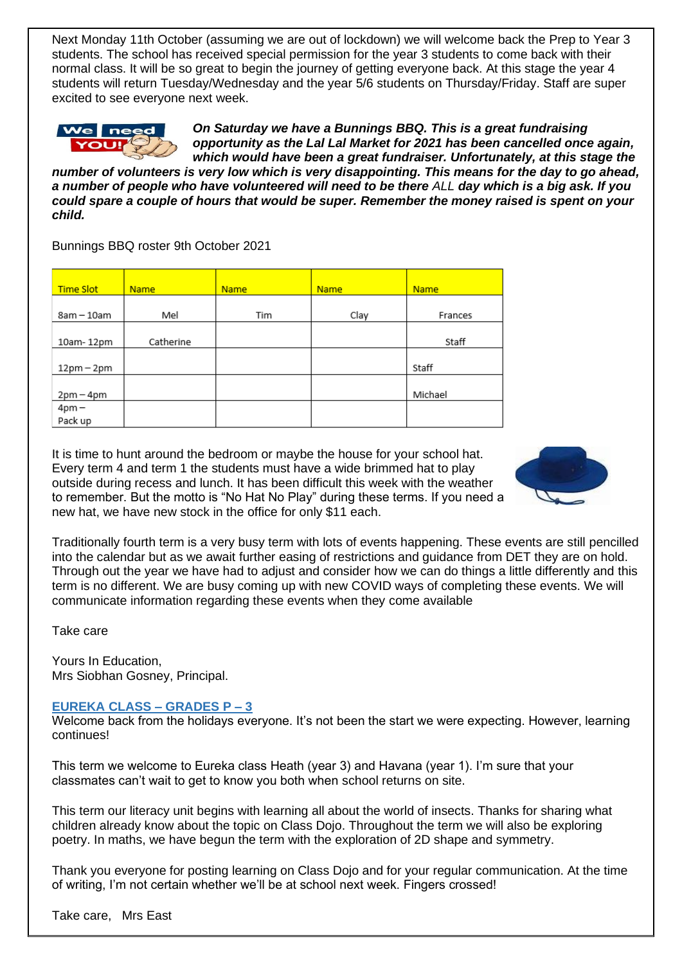Next Monday 11th October (assuming we are out of lockdown) we will welcome back the Prep to Year 3 students. The school has received special permission for the year 3 students to come back with their normal class. It will be so great to begin the journey of getting everyone back. At this stage the year 4 students will return Tuesday/Wednesday and the year 5/6 students on Thursday/Friday. Staff are super excited to see everyone next week.



*On Saturday we have a Bunnings BBQ. This is a great fundraising opportunity as the Lal Lal Market for 2021 has been cancelled once again, which would have been a great fundraiser. Unfortunately, at this stage the* 

*number of volunteers is very low which is very disappointing. This means for the day to go ahead, a number of people who have volunteered will need to be there ALL day which is a big ask. If you could spare a couple of hours that would be super. Remember the money raised is spent on your child.*

Bunnings BBQ roster 9th October 2021

| <b>Time Slot</b>   | <b>Name</b> | <b>Name</b> | <b>Name</b> | <b>Name</b> |
|--------------------|-------------|-------------|-------------|-------------|
| 8am - 10am         | Mel         | Tim         | Clay        | Frances     |
| 10am-12pm          | Catherine   |             |             | Staff       |
| $12pm - 2pm$       |             |             |             | Staff       |
| $2pm-4pm$          |             |             |             | Michael     |
| $4pm -$<br>Pack up |             |             |             |             |

It is time to hunt around the bedroom or maybe the house for your school hat. Every term 4 and term 1 the students must have a wide brimmed hat to play outside during recess and lunch. It has been difficult this week with the weather to remember. But the motto is "No Hat No Play" during these terms. If you need a new hat, we have new stock in the office for only \$11 each.



Traditionally fourth term is a very busy term with lots of events happening. These events are still pencilled into the calendar but as we await further easing of restrictions and guidance from DET they are on hold. Through out the year we have had to adjust and consider how we can do things a little differently and this term is no different. We are busy coming up with new COVID ways of completing these events. We will communicate information regarding these events when they come available

Take care

Yours In Education, Mrs Siobhan Gosney, Principal.

## **EUREKA CLASS – GRADES P – 3**

Welcome back from the holidays everyone. It's not been the start we were expecting. However, learning continues!

This term we welcome to Eureka class Heath (year 3) and Havana (year 1). I'm sure that your classmates can't wait to get to know you both when school returns on site.

This term our literacy unit begins with learning all about the world of insects. Thanks for sharing what children already know about the topic on Class Dojo. Throughout the term we will also be exploring poetry. In maths, we have begun the term with the exploration of 2D shape and symmetry.

Thank you everyone for posting learning on Class Dojo and for your regular communication. At the time of writing, I'm not certain whether we'll be at school next week. Fingers crossed!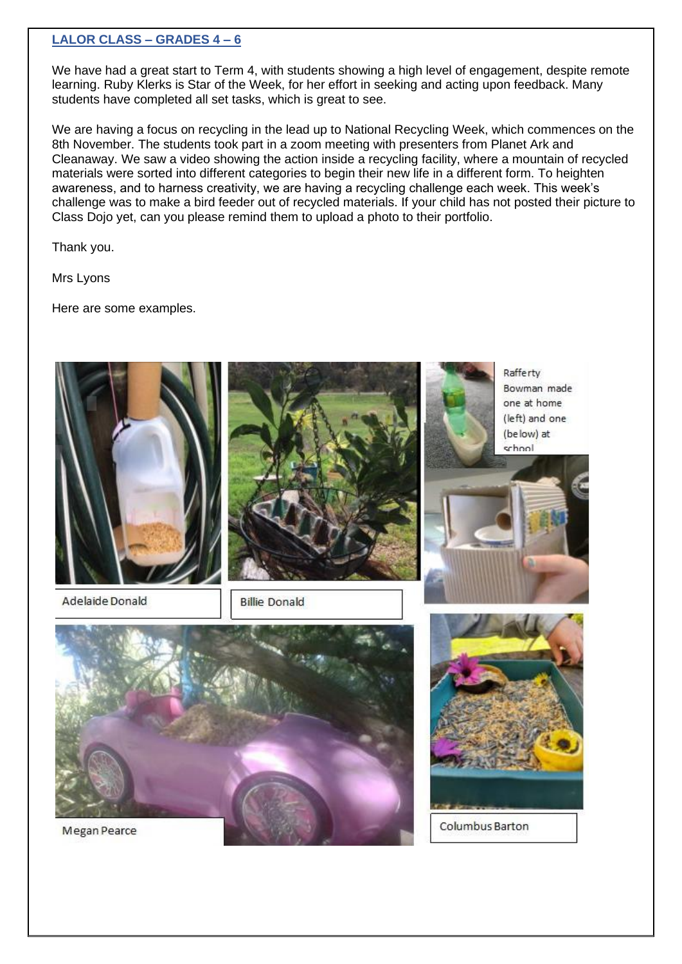### **LALOR CLASS – GRADES 4 – 6**

We have had a great start to Term 4, with students showing a high level of engagement, despite remote learning. Ruby Klerks is Star of the Week, for her effort in seeking and acting upon feedback. Many students have completed all set tasks, which is great to see.

We are having a focus on recycling in the lead up to National Recycling Week, which commences on the 8th November. The students took part in a zoom meeting with presenters from Planet Ark and Cleanaway. We saw a video showing the action inside a recycling facility, where a mountain of recycled materials were sorted into different categories to begin their new life in a different form. To heighten awareness, and to harness creativity, we are having a recycling challenge each week. This week's challenge was to make a bird feeder out of recycled materials. If your child has not posted their picture to Class Dojo yet, can you please remind them to upload a photo to their portfolio.

Thank you.

Mrs Lyons

Here are some examples.

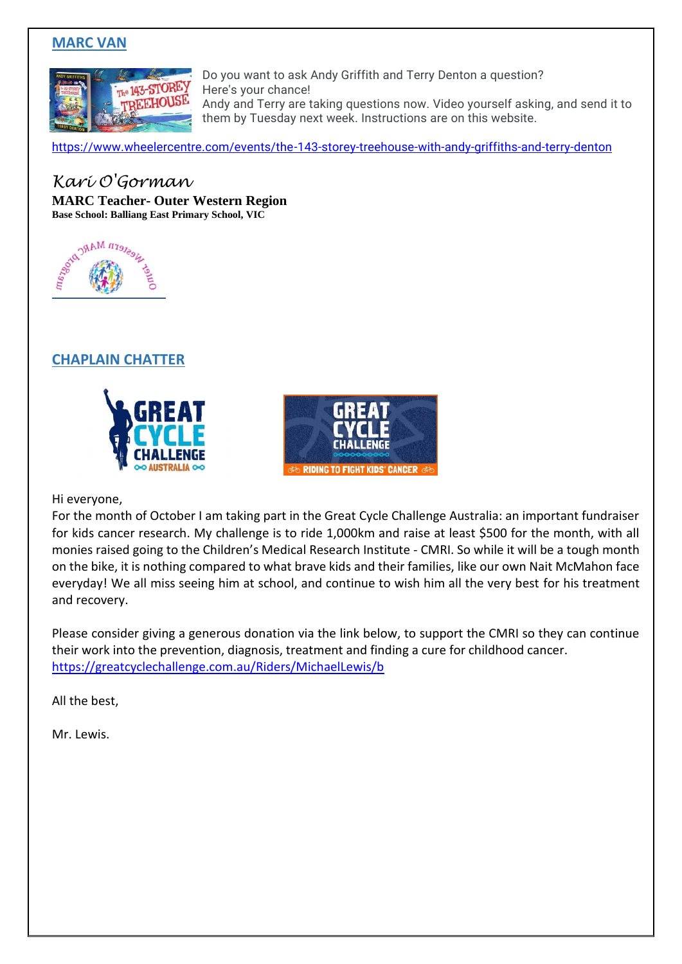## **MARC VAN**



Do you want to ask Andy Griffith and Terry Denton a question? Here's your chance! Andy and Terry are taking questions now. Video yourself asking, and send it to

them by Tuesday next week. Instructions are on this website.

[https://www.wheelercentre.com/events/the-143-storey-treehouse-with-andy-griffiths-and-terry-denton](https://aus01.safelinks.protection.outlook.com/?url=https%3A%2F%2Fwww.wheelercentre.com%2Fevents%2Fthe-143-storey-treehouse-with-andy-griffiths-and-terry-denton&data=04%7C01%7CFrances.Mifsud%40education.vic.gov.au%7C5ef1b8b05ed64f74a5cf08d987abeb46%7Cd96cb3371a8744cfb69b3cec334a4c1f%7C0%7C0%7C637689994718567100%7CUnknown%7CTWFpbGZsb3d8eyJWIjoiMC4wLjAwMDAiLCJQIjoiV2luMzIiLCJBTiI6Ik1haWwiLCJXVCI6Mn0%3D%7C1000&sdata=A3LsxSX3wVa15rxd%2BDBVDqLu2bwn7jGy9uNlmTQLrds%3D&reserved=0)

# *Kari O'Gorman*

**MARC Teacher- Outer Western Region Base School: Balliang East Primary School, VIC**



## **CHAPLAIN CHATTER**





Hi everyone,

For the month of October I am taking part in the Great Cycle Challenge Australia: an important fundraiser for kids cancer research. My challenge is to ride 1,000km and raise at least \$500 for the month, with all monies raised going to the Children's Medical Research Institute - CMRI. So while it will be a tough month on the bike, it is nothing compared to what brave kids and their families, like our own Nait McMahon face everyday! We all miss seeing him at school, and continue to wish him all the very best for his treatment and recovery.

Please consider giving a generous donation via the link below, to support the CMRI so they can continue their work into the prevention, diagnosis, treatment and finding a cure for childhood cancer. <https://greatcyclechallenge.com.au/Riders/MichaelLewis/b>

All the best,

Mr. Lewis.